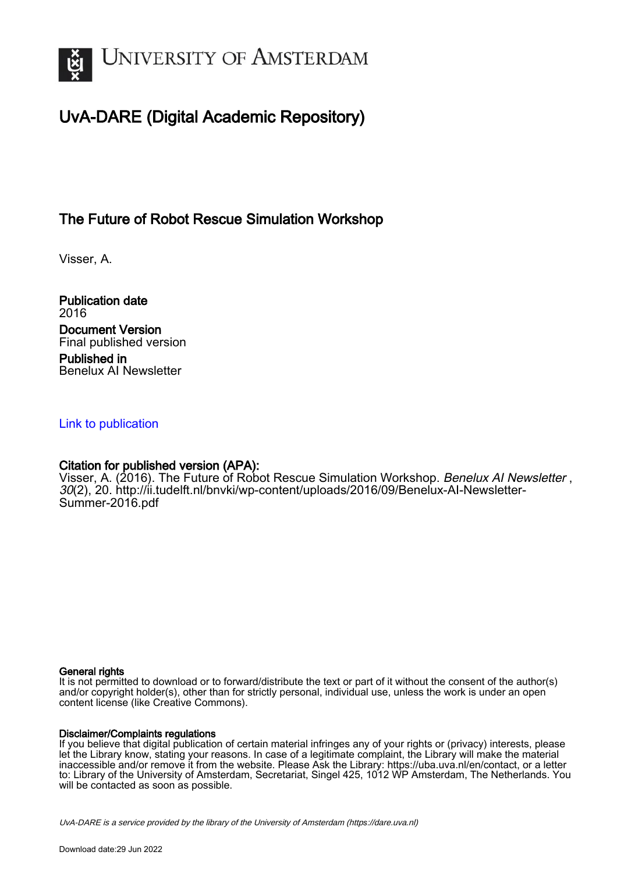

# UvA-DARE (Digital Academic Repository)

## The Future of Robot Rescue Simulation Workshop

Visser, A.

Publication date 2016 Document Version Final published version Published in Benelux AI Newsletter

#### [Link to publication](https://dare.uva.nl/personal/pure/en/publications/the-future-of-robot-rescue-simulation-workshop(de6b21de-76d0-4bbc-a07d-db91e2b0b1b9).html)

## Citation for published version (APA):

Visser, A. (2016). The Future of Robot Rescue Simulation Workshop. Benelux AI Newsletter, 30(2), 20. [http://ii.tudelft.nl/bnvki/wp-content/uploads/2016/09/Benelux-AI-Newsletter-](http://ii.tudelft.nl/bnvki/wp-content/uploads/2016/09/Benelux-AI-Newsletter-Summer-2016.pdf)[Summer-2016.pdf](http://ii.tudelft.nl/bnvki/wp-content/uploads/2016/09/Benelux-AI-Newsletter-Summer-2016.pdf)

#### General rights

It is not permitted to download or to forward/distribute the text or part of it without the consent of the author(s) and/or copyright holder(s), other than for strictly personal, individual use, unless the work is under an open content license (like Creative Commons).

#### Disclaimer/Complaints regulations

If you believe that digital publication of certain material infringes any of your rights or (privacy) interests, please let the Library know, stating your reasons. In case of a legitimate complaint, the Library will make the material inaccessible and/or remove it from the website. Please Ask the Library: https://uba.uva.nl/en/contact, or a letter to: Library of the University of Amsterdam, Secretariat, Singel 425, 1012 WP Amsterdam, The Netherlands. You will be contacted as soon as possible.

UvA-DARE is a service provided by the library of the University of Amsterdam (http*s*://dare.uva.nl)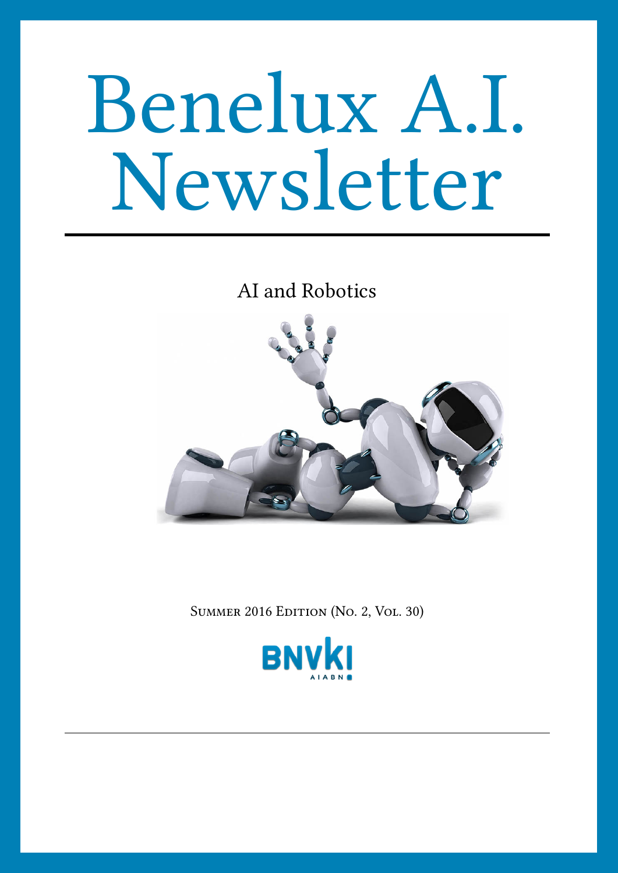# Benelux A.I. Newsletter

AI and Robotics



SUMMER 2016 EDITION (No. 2, VOL. 30)